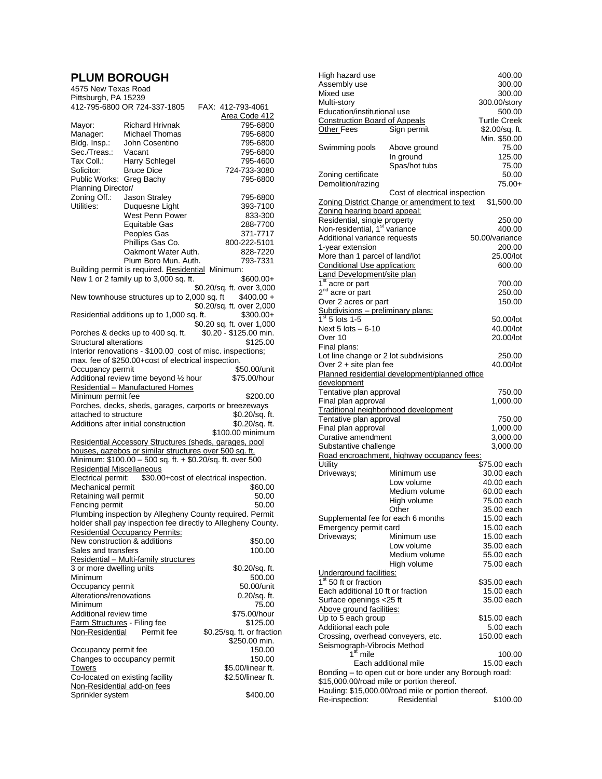## **PLUM BOROUGH** New Texas Road

| Pittsburgh, PA 15239                            | 412-795-6800 OR 724-337-1805                           | FAX: 412-793-4061                                             |
|-------------------------------------------------|--------------------------------------------------------|---------------------------------------------------------------|
|                                                 |                                                        | Area Code 412                                                 |
| Mayor:                                          | <b>Richard Hrivnak</b>                                 | 795-6800                                                      |
| Manager:                                        | Michael Thomas                                         | 795-6800                                                      |
| Bldg. Insp.:                                    | John Cosentino                                         | 795-6800                                                      |
| Sec./Treas.:                                    | Vacant                                                 | 795-6800                                                      |
| Tax Coll.:                                      | Harry Schlegel                                         | 795-4600                                                      |
| Solicitor:                                      | <b>Bruce Dice</b>                                      | 724-733-3080                                                  |
| Public Works:<br>Planning Director/             | Greg Bachy                                             | 795-6800                                                      |
| Zoning Off.:                                    | Jason Straley                                          | 795-6800                                                      |
| Utilities:                                      | Duquesne Light                                         | 393-7100                                                      |
|                                                 | West Penn Power                                        | 833-300                                                       |
|                                                 | <b>Equitable Gas</b>                                   | 288-7700                                                      |
|                                                 | Peoples Gas                                            | 371-7717                                                      |
|                                                 | Phillips Gas Co.                                       | 800-222-5101                                                  |
|                                                 | Oakmont Water Auth.                                    | 828-7220                                                      |
|                                                 | Plum Boro Mun. Auth.                                   | 793-7331                                                      |
|                                                 | Building permit is required. Residential Minimum:      |                                                               |
|                                                 | New 1 or 2 family up to 3,000 sq. ft.                  | \$600.00+                                                     |
|                                                 |                                                        | \$0.20/sq. ft. over 3,000                                     |
|                                                 | New townhouse structures up to 2,000 sq. ft            | $$400.00 +$                                                   |
|                                                 |                                                        | \$0.20/sq. ft. over 2,000                                     |
|                                                 | Residential additions up to 1,000 sq. ft.              | $$300.00+$                                                    |
|                                                 |                                                        | \$0.20 sq. ft. over 1,000                                     |
|                                                 | Porches & decks up to 400 sq. ft.                      | \$0.20 - \$125.00 min.                                        |
| <b>Structural alterations</b>                   |                                                        | \$125.00                                                      |
|                                                 | max. fee of \$250.00+cost of electrical inspection.    | Interior renovations - \$100.00_cost of misc. inspections;    |
| Occupancy permit                                |                                                        | \$50.00/unit                                                  |
|                                                 | Additional review time beyond 1/2 hour                 | \$75.00/hour                                                  |
|                                                 | Residential - Manufactured Homes                       |                                                               |
| Minimum permit fee                              |                                                        | \$200.00                                                      |
|                                                 |                                                        | Porches, decks, sheds, garages, carports or breezeways        |
| attached to structure                           |                                                        | \$0.20/sq. ft.                                                |
|                                                 |                                                        |                                                               |
|                                                 | Additions after initial construction                   | \$0.20/sq. ft.                                                |
|                                                 |                                                        | \$100.00 minimum                                              |
|                                                 |                                                        |                                                               |
|                                                 | houses, gazebos or similar structures over 500 sq. ft. | Residential Accessory Structures (sheds, garages, pool        |
|                                                 |                                                        | Minimum: \$100.00 - 500 sq. ft. + \$0.20/sq. ft. over 500     |
| <b>Residential Miscellaneous</b>                |                                                        |                                                               |
| Electrical permit:                              |                                                        | \$30.00+cost of electrical inspection.                        |
| Mechanical permit                               |                                                        | \$60.00                                                       |
| Retaining wall permit                           |                                                        | 50.00                                                         |
| Fencing permit                                  |                                                        | 50.00                                                         |
|                                                 |                                                        | Plumbing inspection by Allegheny County required. Permit      |
|                                                 |                                                        | holder shall pay inspection fee directly to Allegheny County. |
|                                                 | <b>Residential Occupancy Permits:</b>                  |                                                               |
|                                                 | New construction & additions                           | \$50.00                                                       |
| Sales and transfers                             |                                                        | 100.00                                                        |
|                                                 | Residential - Multi-family structures                  |                                                               |
| 3 or more dwelling units<br>Minimum             |                                                        | \$0.20/sq. ft.<br>500.00                                      |
| Occupancy permit                                |                                                        | 50.00/unit                                                    |
| Alterations/renovations                         |                                                        | 0.20/sq. ft.                                                  |
| Minimum                                         |                                                        | 75.00                                                         |
| Additional review time                          |                                                        | \$75.00/hour                                                  |
| Farm Structures - Filing fee                    |                                                        | \$125.00                                                      |
| Non-Residential                                 | Permit fee                                             | \$0.25/sq. ft. or fraction                                    |
|                                                 |                                                        | \$250.00 min.                                                 |
| Occupancy permit fee                            |                                                        | 150.00                                                        |
|                                                 | Changes to occupancy permit                            | 150.00                                                        |
| <b>Towers</b>                                   |                                                        | \$5.00/linear ft.                                             |
|                                                 | Co-located on existing facility                        | \$2.50/linear ft.                                             |
| Non-Residential add-on fees<br>Sprinkler system |                                                        | \$400.00                                                      |

|                                                             |                                                                   | 400.00                   |
|-------------------------------------------------------------|-------------------------------------------------------------------|--------------------------|
| High hazard use<br>Assembly use                             |                                                                   | 300.00                   |
| Mixed use                                                   | 300.00                                                            |                          |
| Multi-story                                                 |                                                                   | 300.00/story             |
| Education/institutional use                                 |                                                                   | 500.00                   |
| <b>Construction Board of Appeals</b>                        |                                                                   | <b>Turtle Creek</b>      |
| Other Fees                                                  | Sign permit                                                       | \$2.00/sq. ft.           |
|                                                             |                                                                   | Min. \$50.00             |
| Swimming pools                                              | Above ground                                                      | 75.00                    |
|                                                             | In ground<br>Spas/hot tubs                                        | 125.00<br>75.00          |
| Zoning certificate                                          |                                                                   | 50.00                    |
| Demolition/razing                                           |                                                                   | $75.00+$                 |
|                                                             | Cost of electrical inspection                                     |                          |
|                                                             | Zoning District Change or amendment to text                       | \$1,500.00               |
| Zoning hearing board appeal:                                |                                                                   |                          |
| Residential, single property                                |                                                                   | 250.00                   |
| Non-residential, 1 <sup>st</sup> variance                   |                                                                   | 400.00                   |
| Additional variance requests                                |                                                                   | 50.00/variance           |
| 1-year extension                                            |                                                                   | 200.00                   |
| More than 1 parcel of land/lot                              |                                                                   | 25.00/lot                |
| Conditional Use application:                                |                                                                   | 600.00                   |
| Land Development/site plan                                  |                                                                   |                          |
| 1 <sup>st</sup> acre or part                                |                                                                   | 700.00                   |
| 2 <sup>nd</sup> acre or part                                |                                                                   | 250.00                   |
| Over 2 acres or part<br>Subdivisions - preliminary plans:   |                                                                   | 150.00                   |
| $1st 5$ lots 1-5                                            |                                                                   | 50.00/lot                |
| Next $5$ lots $-6-10$                                       |                                                                   | 40.00/lot                |
| Over 10                                                     |                                                                   | 20.00/lot                |
| Final plans:                                                |                                                                   |                          |
| Lot line change or 2 lot subdivisions                       |                                                                   | 250.00                   |
| Over 2 + site plan fee                                      |                                                                   | 40.00/lot                |
|                                                             | Planned residential development/planned office                    |                          |
| development                                                 |                                                                   |                          |
| Tentative plan approval                                     |                                                                   | 750.00                   |
| Final plan approval                                         |                                                                   | 1,000.00                 |
|                                                             | Traditional neighborhood development                              |                          |
| Tentative plan approval                                     |                                                                   |                          |
|                                                             |                                                                   | 750.00                   |
| Final plan approval                                         |                                                                   | 1,000.00                 |
| Curative amendment                                          |                                                                   | 3,000.00                 |
| Substantive challenge                                       |                                                                   | 3,000.00                 |
|                                                             | Road encroachment, highway occupancy fees:                        |                          |
| Utility                                                     |                                                                   | \$75.00 each             |
| Driveways;                                                  | Minimum use                                                       | 30.00 each               |
|                                                             | Low volume                                                        | 40.00 each               |
|                                                             | Medium volume                                                     | 60.00 each               |
|                                                             | High volume<br>Other                                              | 75.00 each<br>35.00 each |
|                                                             |                                                                   | 15.00 each               |
| Supplemental fee for each 6 months<br>Emergency permit card |                                                                   | 15.00 each               |
| Driveways;                                                  | Minimum use                                                       | 15.00 each               |
|                                                             | Low volume                                                        | 35.00 each               |
|                                                             | Medium volume                                                     | 55.00 each               |
|                                                             | High volume                                                       | 75.00 each               |
| Underground facilities:                                     |                                                                   |                          |
| $1st 50$ ft or fraction                                     |                                                                   | \$35.00 each             |
| Each additional 10 ft or fraction                           |                                                                   | 15.00 each               |
| Surface openings <25 ft                                     |                                                                   | 35.00 each               |
| Above ground facilities:                                    |                                                                   |                          |
| Up to 5 each group                                          |                                                                   | \$15.00 each             |
| Additional each pole                                        |                                                                   | 5.00 each                |
| Crossing, overhead conveyers, etc.                          |                                                                   | 150.00 each              |
| Seismograph-Vibrocis Method<br>1 <sup>st</sup> mile         |                                                                   | 100.00                   |
|                                                             | Each additional mile                                              | 15.00 each               |
|                                                             | Bonding - to open cut or bore under any Borough road:             |                          |
|                                                             | \$15,000.00/road mile or portion thereof.                         |                          |
| Re-inspection:                                              | Hauling: \$15,000.00/road mile or portion thereof.<br>Residential | \$100.00                 |